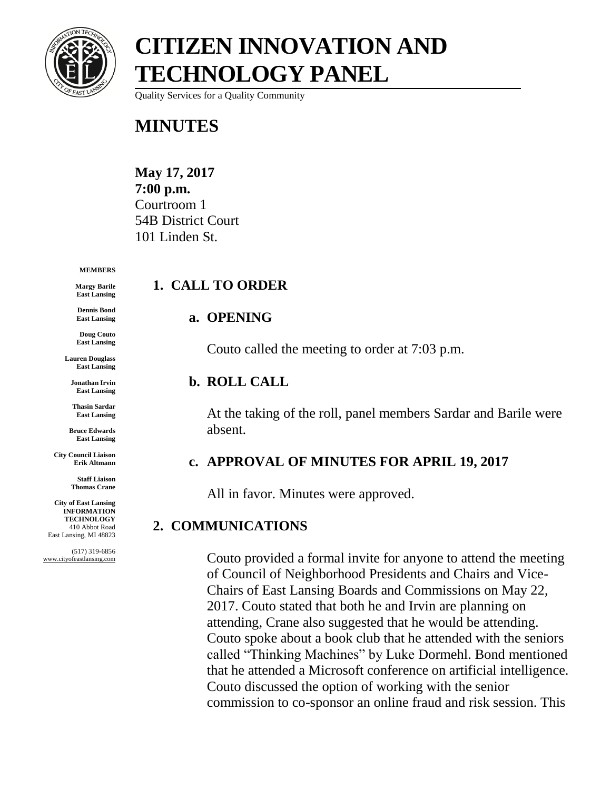

Quality Services for a Quality Community

### **MINUTES**

**May 17, 2017 7:00 p.m.** Courtroom 1 54B District Court 101 Linden St.

#### **MEMBERS**

**Margy Barile East Lansing**

**Dennis Bond East Lansing**

**Doug Couto East Lansing**

**Lauren Douglass East Lansing**

**Jonathan Irvin East Lansing**

**Thasin Sardar East Lansing**

**Bruce Edwards East Lansing**

**City Council Liaison Erik Altmann**

> **Staff Liaison Thomas Crane**

**City of East Lansing INFORMATION TECHNOLOGY** 410 Abbot Road East Lansing, MI 48823

(517) 319-6856 www.cityofeastlansing.com

#### **1. CALL TO ORDER**

#### **a. OPENING**

Couto called the meeting to order at 7:03 p.m.

#### **b. ROLL CALL**

At the taking of the roll, panel members Sardar and Barile were absent.

#### **c. APPROVAL OF MINUTES FOR APRIL 19, 2017**

All in favor. Minutes were approved.

#### **2. COMMUNICATIONS**

Couto provided a formal invite for anyone to attend the meeting of Council of Neighborhood Presidents and Chairs and Vice-Chairs of East Lansing Boards and Commissions on May 22, 2017. Couto stated that both he and Irvin are planning on attending, Crane also suggested that he would be attending. Couto spoke about a book club that he attended with the seniors called "Thinking Machines" by Luke Dormehl. Bond mentioned that he attended a Microsoft conference on artificial intelligence. Couto discussed the option of working with the senior commission to co-sponsor an online fraud and risk session. This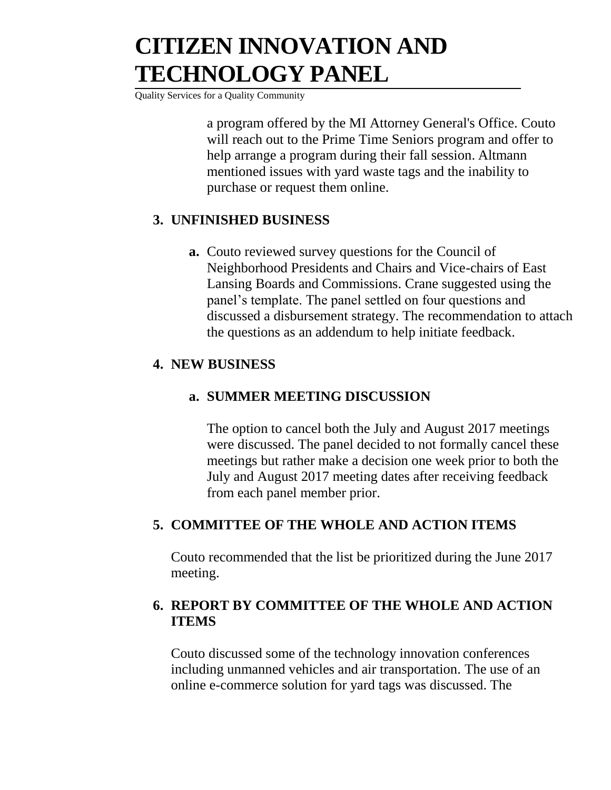Quality Services for a Quality Community

a program offered by the MI Attorney General's Office. Couto will reach out to the Prime Time Seniors program and offer to help arrange a program during their fall session. Altmann mentioned issues with yard waste tags and the inability to purchase or request them online.

#### **3. UNFINISHED BUSINESS**

**a.** Couto reviewed survey questions for the Council of Neighborhood Presidents and Chairs and Vice-chairs of East Lansing Boards and Commissions. Crane suggested using the panel's template. The panel settled on four questions and discussed a disbursement strategy. The recommendation to attach the questions as an addendum to help initiate feedback.

#### **4. NEW BUSINESS**

#### **a. SUMMER MEETING DISCUSSION**

The option to cancel both the July and August 2017 meetings were discussed. The panel decided to not formally cancel these meetings but rather make a decision one week prior to both the July and August 2017 meeting dates after receiving feedback from each panel member prior.

#### **5. COMMITTEE OF THE WHOLE AND ACTION ITEMS**

Couto recommended that the list be prioritized during the June 2017 meeting.

#### **6. REPORT BY COMMITTEE OF THE WHOLE AND ACTION ITEMS**

Couto discussed some of the technology innovation conferences including unmanned vehicles and air transportation. The use of an online e-commerce solution for yard tags was discussed. The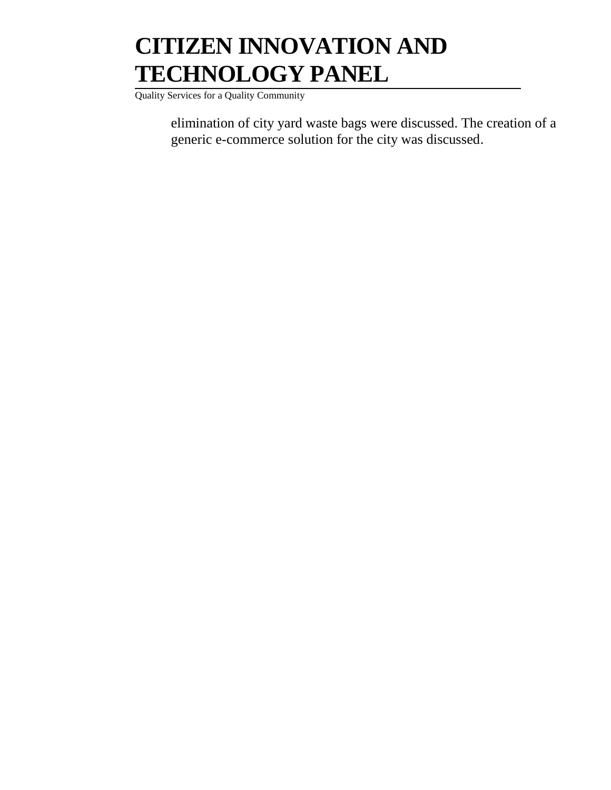Quality Services for a Quality Community

elimination of city yard waste bags were discussed. The creation of a generic e-commerce solution for the city was discussed.